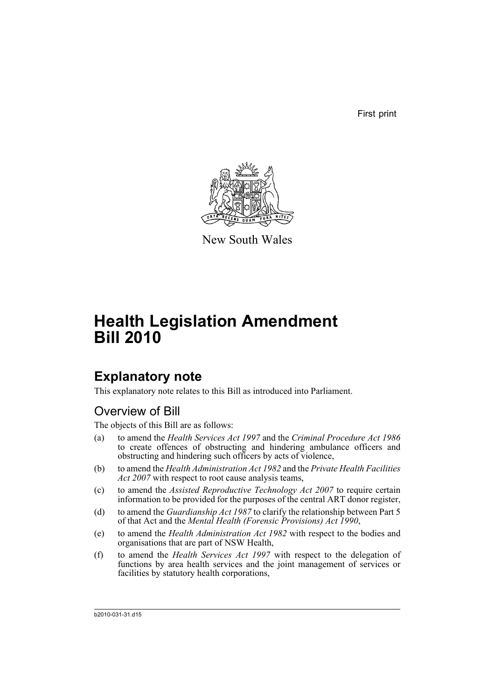First print



New South Wales

# **Health Legislation Amendment Bill 2010**

# **Explanatory note**

This explanatory note relates to this Bill as introduced into Parliament.

## Overview of Bill

The objects of this Bill are as follows:

- (a) to amend the *Health Services Act 1997* and the *Criminal Procedure Act 1986* to create offences of obstructing and hindering ambulance officers and obstructing and hindering such officers by acts of violence,
- (b) to amend the *Health Administration Act 1982* and the *Private Health Facilities Act 2007* with respect to root cause analysis teams,
- (c) to amend the *Assisted Reproductive Technology Act 2007* to require certain information to be provided for the purposes of the central ART donor register,
- (d) to amend the *Guardianship Act 1987* to clarify the relationship between Part 5 of that Act and the *Mental Health (Forensic Provisions) Act 1990*,
- (e) to amend the *Health Administration Act 1982* with respect to the bodies and organisations that are part of NSW Health,
- (f) to amend the *Health Services Act 1997* with respect to the delegation of functions by area health services and the joint management of services or facilities by statutory health corporations,

b2010-031-31.d15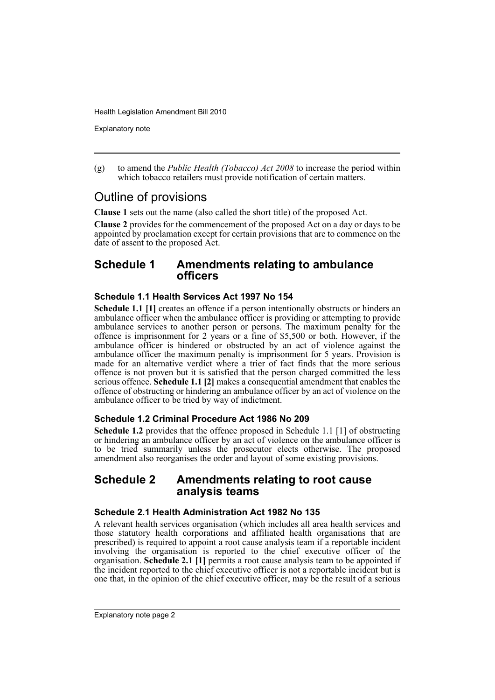Explanatory note

(g) to amend the *Public Health (Tobacco) Act 2008* to increase the period within which tobacco retailers must provide notification of certain matters.

## Outline of provisions

**Clause 1** sets out the name (also called the short title) of the proposed Act.

**Clause 2** provides for the commencement of the proposed Act on a day or days to be appointed by proclamation except for certain provisions that are to commence on the date of assent to the proposed Act.

### **Schedule 1 Amendments relating to ambulance officers**

#### **Schedule 1.1 Health Services Act 1997 No 154**

**Schedule 1.1 [1]** creates an offence if a person intentionally obstructs or hinders an ambulance officer when the ambulance officer is providing or attempting to provide ambulance services to another person or persons. The maximum penalty for the offence is imprisonment for 2 years or a fine of \$5,500 or both. However, if the ambulance officer is hindered or obstructed by an act of violence against the ambulance officer the maximum penalty is imprisonment for 5 years. Provision is made for an alternative verdict where a trier of fact finds that the more serious offence is not proven but it is satisfied that the person charged committed the less serious offence. **Schedule 1.1 [2]** makes a consequential amendment that enables the offence of obstructing or hindering an ambulance officer by an act of violence on the ambulance officer to be tried by way of indictment.

#### **Schedule 1.2 Criminal Procedure Act 1986 No 209**

**Schedule 1.2** provides that the offence proposed in Schedule 1.1 [1] of obstructing or hindering an ambulance officer by an act of violence on the ambulance officer is to be tried summarily unless the prosecutor elects otherwise. The proposed amendment also reorganises the order and layout of some existing provisions.

### **Schedule 2 Amendments relating to root cause analysis teams**

#### **Schedule 2.1 Health Administration Act 1982 No 135**

A relevant health services organisation (which includes all area health services and those statutory health corporations and affiliated health organisations that are prescribed) is required to appoint a root cause analysis team if a reportable incident involving the organisation is reported to the chief executive officer of the organisation. **Schedule 2.1 [1]** permits a root cause analysis team to be appointed if the incident reported to the chief executive officer is not a reportable incident but is one that, in the opinion of the chief executive officer, may be the result of a serious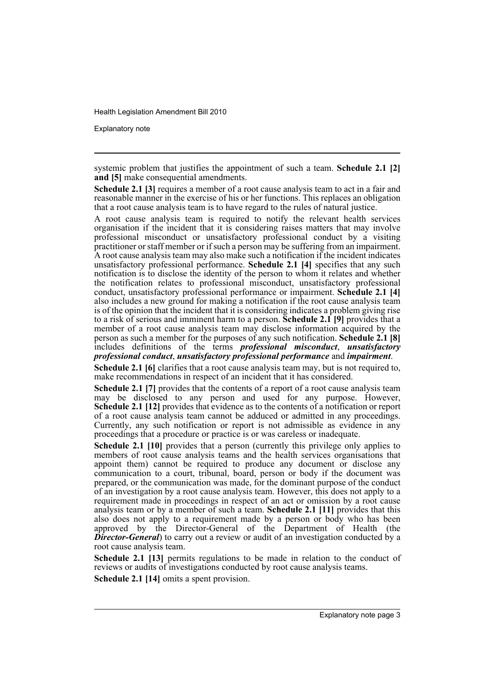Explanatory note

systemic problem that justifies the appointment of such a team. **Schedule 2.1 [2] and [5]** make consequential amendments.

**Schedule 2.1 [3]** requires a member of a root cause analysis team to act in a fair and reasonable manner in the exercise of his or her functions. This replaces an obligation that a root cause analysis team is to have regard to the rules of natural justice.

A root cause analysis team is required to notify the relevant health services organisation if the incident that it is considering raises matters that may involve professional misconduct or unsatisfactory professional conduct by a visiting practitioner or staff member or if such a person may be suffering from an impairment. A root cause analysis team may also make such a notification if the incident indicates unsatisfactory professional performance. **Schedule 2.1 [4]** specifies that any such notification is to disclose the identity of the person to whom it relates and whether the notification relates to professional misconduct, unsatisfactory professional conduct, unsatisfactory professional performance or impairment. **Schedule 2.1 [4]** also includes a new ground for making a notification if the root cause analysis team is of the opinion that the incident that it is considering indicates a problem giving rise to a risk of serious and imminent harm to a person. **Schedule 2.1 [9]** provides that a member of a root cause analysis team may disclose information acquired by the person as such a member for the purposes of any such notification. **Schedule 2.1 [8]** includes definitions of the terms *professional misconduct*, *unsatisfactory professional conduct*, *unsatisfactory professional performance* and *impairment*.

**Schedule 2.1 [6]** clarifies that a root cause analysis team may, but is not required to, make recommendations in respect of an incident that it has considered.

**Schedule 2.1 [7]** provides that the contents of a report of a root cause analysis team may be disclosed to any person and used for any purpose. However, **Schedule 2.1 [12]** provides that evidence as to the contents of a notification or report of a root cause analysis team cannot be adduced or admitted in any proceedings. Currently, any such notification or report is not admissible as evidence in any proceedings that a procedure or practice is or was careless or inadequate.

**Schedule 2.1 [10]** provides that a person (currently this privilege only applies to members of root cause analysis teams and the health services organisations that appoint them) cannot be required to produce any document or disclose any communication to a court, tribunal, board, person or body if the document was prepared, or the communication was made, for the dominant purpose of the conduct of an investigation by a root cause analysis team. However, this does not apply to a requirement made in proceedings in respect of an act or omission by a root cause analysis team or by a member of such a team. **Schedule 2.1 [11]** provides that this also does not apply to a requirement made by a person or body who has been approved by the Director-General of the Department of Health (the **Director-General**) to carry out a review or audit of an investigation conducted by a root cause analysis team.

**Schedule 2.1 [13]** permits regulations to be made in relation to the conduct of reviews or audits of investigations conducted by root cause analysis teams.

**Schedule 2.1 [14]** omits a spent provision.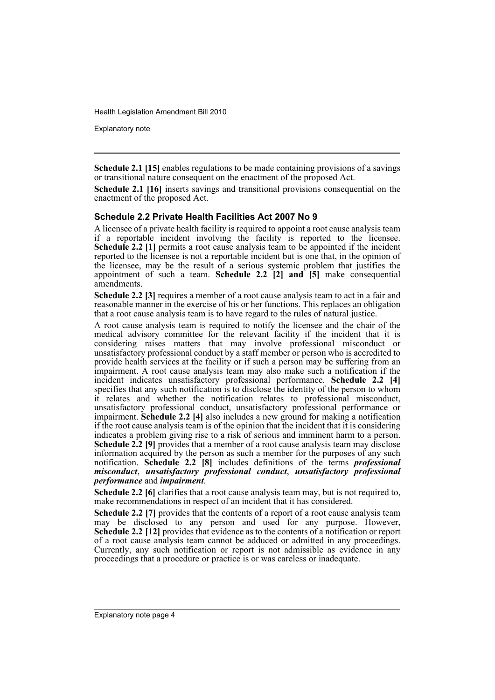Explanatory note

**Schedule 2.1 [15]** enables regulations to be made containing provisions of a savings or transitional nature consequent on the enactment of the proposed Act.

**Schedule 2.1 [16]** inserts savings and transitional provisions consequential on the enactment of the proposed Act.

#### **Schedule 2.2 Private Health Facilities Act 2007 No 9**

A licensee of a private health facility is required to appoint a root cause analysis team if a reportable incident involving the facility is reported to the licensee. **Schedule 2.2 [1]** permits a root cause analysis team to be appointed if the incident reported to the licensee is not a reportable incident but is one that, in the opinion of the licensee, may be the result of a serious systemic problem that justifies the appointment of such a team. **Schedule 2.2 [2] and [5]** make consequential amendments.

**Schedule 2.2 [3]** requires a member of a root cause analysis team to act in a fair and reasonable manner in the exercise of his or her functions. This replaces an obligation that a root cause analysis team is to have regard to the rules of natural justice.

A root cause analysis team is required to notify the licensee and the chair of the medical advisory committee for the relevant facility if the incident that it is considering raises matters that may involve professional misconduct or unsatisfactory professional conduct by a staff member or person who is accredited to provide health services at the facility or if such a person may be suffering from an impairment. A root cause analysis team may also make such a notification if the incident indicates unsatisfactory professional performance. **Schedule 2.2 [4]** specifies that any such notification is to disclose the identity of the person to whom it relates and whether the notification relates to professional misconduct, unsatisfactory professional conduct, unsatisfactory professional performance or impairment. **Schedule 2.2 [4]** also includes a new ground for making a notification if the root cause analysis team is of the opinion that the incident that it is considering indicates a problem giving rise to a risk of serious and imminent harm to a person. **Schedule 2.2 [9]** provides that a member of a root cause analysis team may disclose information acquired by the person as such a member for the purposes of any such notification. **Schedule 2.2 [8]** includes definitions of the terms *professional misconduct*, *unsatisfactory professional conduct*, *unsatisfactory professional performance* and *impairment*.

**Schedule 2.2 [6]** clarifies that a root cause analysis team may, but is not required to, make recommendations in respect of an incident that it has considered.

**Schedule 2.2** [7] provides that the contents of a report of a root cause analysis team may be disclosed to any person and used for any purpose. However, **Schedule 2.2 [12]** provides that evidence as to the contents of a notification or report of a root cause analysis team cannot be adduced or admitted in any proceedings. Currently, any such notification or report is not admissible as evidence in any proceedings that a procedure or practice is or was careless or inadequate.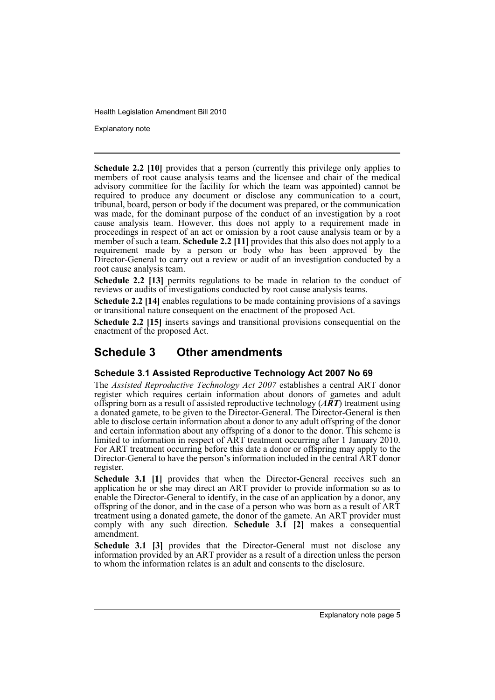Explanatory note

**Schedule 2.2 [10]** provides that a person (currently this privilege only applies to members of root cause analysis teams and the licensee and chair of the medical advisory committee for the facility for which the team was appointed) cannot be required to produce any document or disclose any communication to a court, tribunal, board, person or body if the document was prepared, or the communication was made, for the dominant purpose of the conduct of an investigation by a root cause analysis team. However, this does not apply to a requirement made in proceedings in respect of an act or omission by a root cause analysis team or by a member of such a team. **Schedule 2.2** [11] provides that this also does not apply to a requirement made by a person or body who has been approved by the Director-General to carry out a review or audit of an investigation conducted by a root cause analysis team.

**Schedule 2.2 [13]** permits regulations to be made in relation to the conduct of reviews or audits of investigations conducted by root cause analysis teams.

**Schedule 2.2 [14]** enables regulations to be made containing provisions of a savings or transitional nature consequent on the enactment of the proposed Act.

**Schedule 2.2 [15]** inserts savings and transitional provisions consequential on the enactment of the proposed Act.

## **Schedule 3 Other amendments**

#### **Schedule 3.1 Assisted Reproductive Technology Act 2007 No 69**

The *Assisted Reproductive Technology Act 2007* establishes a central ART donor register which requires certain information about donors of gametes and adult offspring born as a result of assisted reproductive technology (*ART*) treatment using a donated gamete, to be given to the Director-General. The Director-General is then able to disclose certain information about a donor to any adult offspring of the donor and certain information about any offspring of a donor to the donor. This scheme is limited to information in respect of ART treatment occurring after 1 January 2010. For ART treatment occurring before this date a donor or offspring may apply to the Director-General to have the person's information included in the central ART donor register.

**Schedule 3.1 [1]** provides that when the Director-General receives such an application he or she may direct an ART provider to provide information so as to enable the Director-General to identify, in the case of an application by a donor, any offspring of the donor, and in the case of a person who was born as a result of ART treatment using a donated gamete, the donor of the gamete. An ART provider must comply with any such direction. **Schedule 3.1 [2]** makes a consequential amendment.

**Schedule 3.1 [3]** provides that the Director-General must not disclose any information provided by an ART provider as a result of a direction unless the person to whom the information relates is an adult and consents to the disclosure.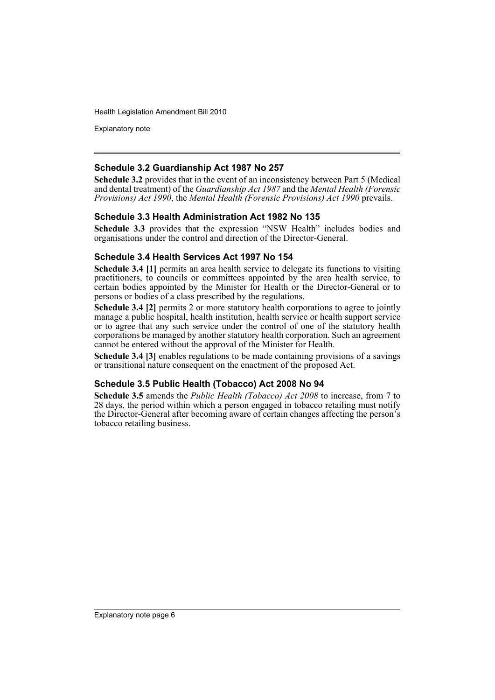Explanatory note

#### **Schedule 3.2 Guardianship Act 1987 No 257**

**Schedule 3.2** provides that in the event of an inconsistency between Part 5 (Medical and dental treatment) of the *Guardianship Act 1987* and the *Mental Health (Forensic Provisions) Act 1990*, the *Mental Health (Forensic Provisions) Act 1990* prevails.

#### **Schedule 3.3 Health Administration Act 1982 No 135**

**Schedule 3.3** provides that the expression "NSW Health" includes bodies and organisations under the control and direction of the Director-General.

#### **Schedule 3.4 Health Services Act 1997 No 154**

**Schedule 3.4 [1]** permits an area health service to delegate its functions to visiting practitioners, to councils or committees appointed by the area health service, to certain bodies appointed by the Minister for Health or the Director-General or to persons or bodies of a class prescribed by the regulations.

**Schedule 3.4 [2]** permits 2 or more statutory health corporations to agree to jointly manage a public hospital, health institution, health service or health support service or to agree that any such service under the control of one of the statutory health corporations be managed by another statutory health corporation. Such an agreement cannot be entered without the approval of the Minister for Health.

**Schedule 3.4 [3]** enables regulations to be made containing provisions of a savings or transitional nature consequent on the enactment of the proposed Act.

#### **Schedule 3.5 Public Health (Tobacco) Act 2008 No 94**

**Schedule 3.5** amends the *Public Health (Tobacco) Act 2008* to increase, from 7 to 28 days, the period within which a person engaged in tobacco retailing must notify the Director-General after becoming aware of certain changes affecting the person's tobacco retailing business.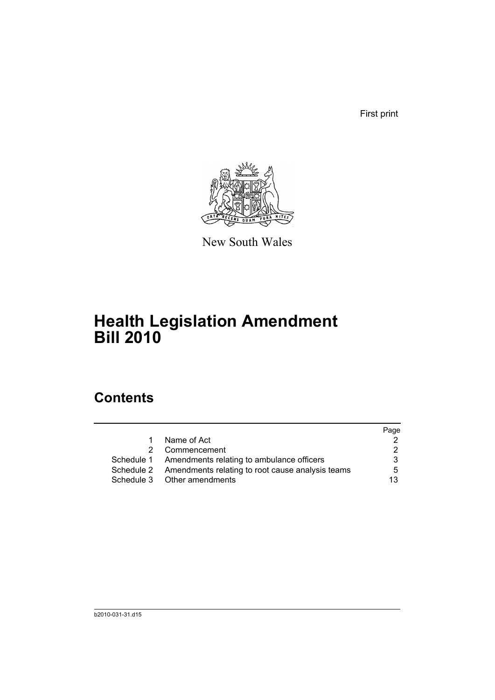First print



New South Wales

# **Health Legislation Amendment Bill 2010**

# **Contents**

|    |                                                             | Page                 |
|----|-------------------------------------------------------------|----------------------|
| 1. | Name of Act                                                 |                      |
| 2  | Commencement                                                | $\mathcal{P} \equiv$ |
|    | Schedule 1 Amendments relating to ambulance officers        | 3                    |
|    | Schedule 2 Amendments relating to root cause analysis teams | 5                    |
|    | Schedule 3 Other amendments                                 | 13                   |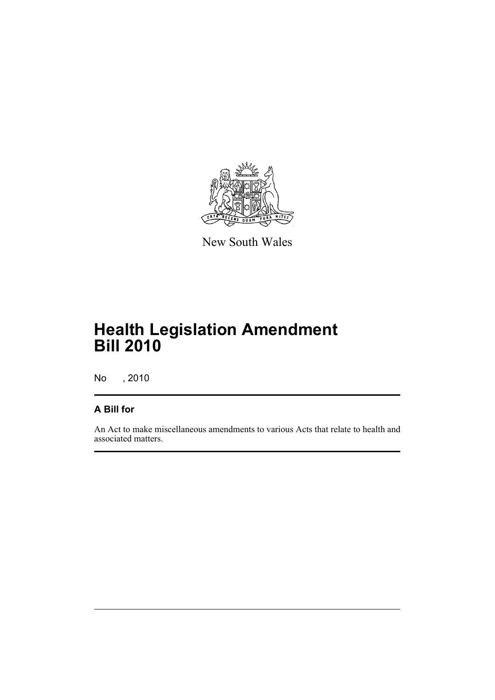

New South Wales

# **Health Legislation Amendment Bill 2010**

No , 2010

### **A Bill for**

An Act to make miscellaneous amendments to various Acts that relate to health and associated matters.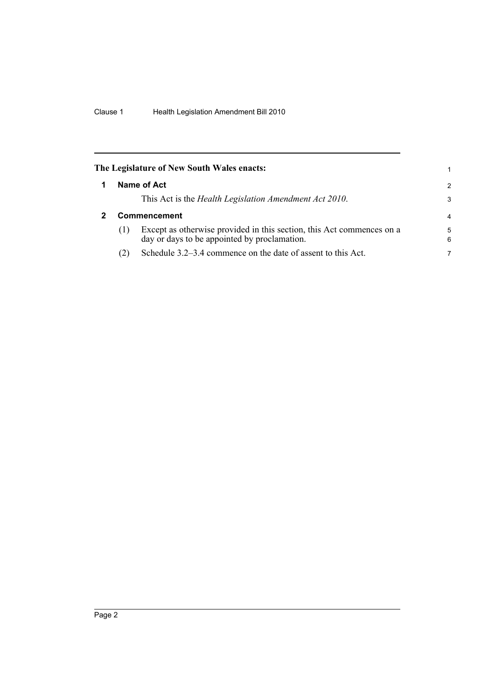<span id="page-9-1"></span><span id="page-9-0"></span>

| 2              |
|----------------|
| 3              |
| $\overline{4}$ |
| 5<br>6         |
|                |
|                |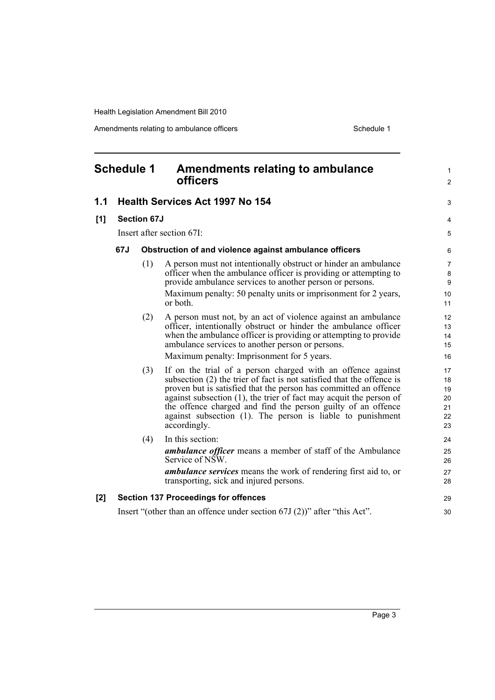Amendments relating to ambulance officers **Schedule 1** Schedule 1

<span id="page-10-0"></span>

| <b>Schedule 1</b> |     |                    | <b>Amendments relating to ambulance</b><br><b>officers</b>                                                                                                                                                                                                                                                                                                                                                                          | $\mathbf{1}$<br>$\overline{2}$         |
|-------------------|-----|--------------------|-------------------------------------------------------------------------------------------------------------------------------------------------------------------------------------------------------------------------------------------------------------------------------------------------------------------------------------------------------------------------------------------------------------------------------------|----------------------------------------|
| 1.1               |     |                    | <b>Health Services Act 1997 No 154</b>                                                                                                                                                                                                                                                                                                                                                                                              | 3                                      |
| [1]               |     | <b>Section 67J</b> |                                                                                                                                                                                                                                                                                                                                                                                                                                     | 4                                      |
|                   |     |                    | Insert after section 67I:                                                                                                                                                                                                                                                                                                                                                                                                           | 5                                      |
|                   | 67J |                    | Obstruction of and violence against ambulance officers                                                                                                                                                                                                                                                                                                                                                                              | 6                                      |
|                   |     | (1)                | A person must not intentionally obstruct or hinder an ambulance<br>officer when the ambulance officer is providing or attempting to<br>provide ambulance services to another person or persons.<br>Maximum penalty: 50 penalty units or imprisonment for 2 years,<br>or both.                                                                                                                                                       | $\overline{7}$<br>8<br>9<br>10<br>11   |
|                   |     | (2)                | A person must not, by an act of violence against an ambulance<br>officer, intentionally obstruct or hinder the ambulance officer<br>when the ambulance officer is providing or attempting to provide<br>ambulance services to another person or persons.<br>Maximum penalty: Imprisonment for 5 years.                                                                                                                              | 12<br>13<br>14<br>15<br>16             |
|                   |     | (3)                | If on the trial of a person charged with an offence against<br>subsection (2) the trier of fact is not satisfied that the offence is<br>proven but is satisfied that the person has committed an offence<br>$a$ against subsection $(1)$ , the trier of fact may acquit the person of<br>the offence charged and find the person guilty of an offence<br>against subsection (1). The person is liable to punishment<br>accordingly. | 17<br>18<br>19<br>20<br>21<br>22<br>23 |
|                   |     | (4)                | In this section:<br><b>ambulance officer</b> means a member of staff of the Ambulance<br>Service of NSW.<br><b>ambulance services</b> means the work of rendering first aid to, or<br>transporting, sick and injured persons.                                                                                                                                                                                                       | 24<br>25<br>26<br>27<br>28             |
| $[2]$             |     |                    | <b>Section 137 Proceedings for offences</b>                                                                                                                                                                                                                                                                                                                                                                                         | 29                                     |
|                   |     |                    | Insert "(other than an offence under section $67J(2)$ )" after "this Act".                                                                                                                                                                                                                                                                                                                                                          | 30                                     |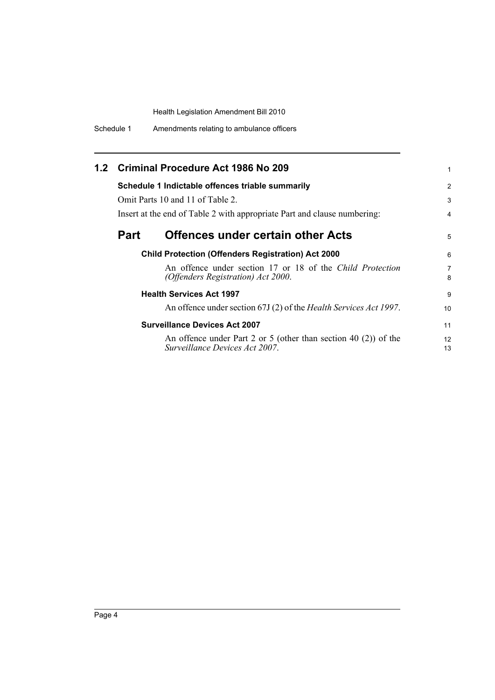| Schedule 1 | Amendments relating to ambulance officers |
|------------|-------------------------------------------|
|------------|-------------------------------------------|

|             | 1.2 Criminal Procedure Act 1986 No 209                                                               | 1              |
|-------------|------------------------------------------------------------------------------------------------------|----------------|
|             | Schedule 1 Indictable offences triable summarily                                                     | $\overline{2}$ |
|             | Omit Parts 10 and 11 of Table 2.                                                                     | 3              |
|             | Insert at the end of Table 2 with appropriate Part and clause numbering:                             | 4              |
| <b>Part</b> | <b>Offences under certain other Acts</b>                                                             | 5              |
|             | <b>Child Protection (Offenders Registration) Act 2000</b>                                            | 6              |
|             | An offence under section 17 or 18 of the Child Protection<br>(Offenders Registration) Act 2000.      | 7<br>8         |
|             | <b>Health Services Act 1997</b>                                                                      | 9              |
|             | An offence under section 67J (2) of the Health Services Act 1997.                                    | 10             |
|             | <b>Surveillance Devices Act 2007</b>                                                                 | 11             |
|             | An offence under Part 2 or 5 (other than section 40 $(2)$ ) of the<br>Surveillance Devices Act 2007. | 12<br>13       |
|             |                                                                                                      |                |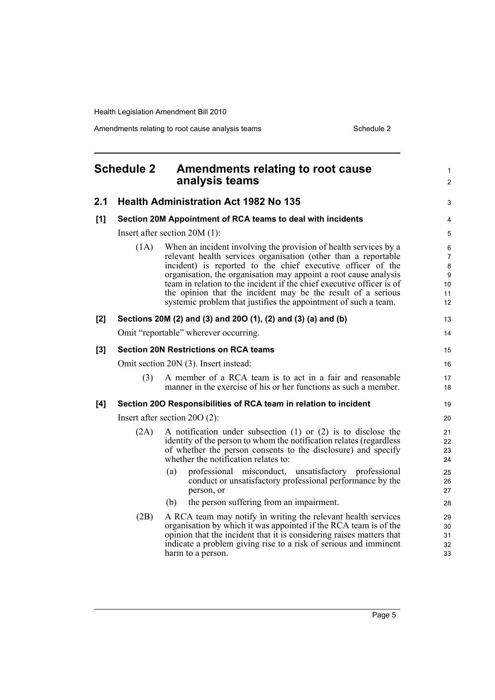Amendments relating to root cause analysis teams Schedule 2

<span id="page-12-0"></span>

|     | <b>Schedule 2</b> | <b>Amendments relating to root cause</b><br>analysis teams                                                                                                                                                                                                                                                                                                                                                                                                                        | 1<br>$\overline{\mathbf{c}}$       |
|-----|-------------------|-----------------------------------------------------------------------------------------------------------------------------------------------------------------------------------------------------------------------------------------------------------------------------------------------------------------------------------------------------------------------------------------------------------------------------------------------------------------------------------|------------------------------------|
| 2.1 |                   | <b>Health Administration Act 1982 No 135</b>                                                                                                                                                                                                                                                                                                                                                                                                                                      | 3                                  |
| [1] |                   | Section 20M Appointment of RCA teams to deal with incidents                                                                                                                                                                                                                                                                                                                                                                                                                       | 4                                  |
|     |                   | Insert after section $20M(1)$ :                                                                                                                                                                                                                                                                                                                                                                                                                                                   | 5                                  |
|     | (1A)              | When an incident involving the provision of health services by a<br>relevant health services organisation (other than a reportable<br>incident) is reported to the chief executive officer of the<br>organisation, the organisation may appoint a root cause analysis<br>team in relation to the incident if the chief executive officer is of<br>the opinion that the incident may be the result of a serious<br>systemic problem that justifies the appointment of such a team. | 6<br>7<br>8<br>9<br>10<br>11<br>12 |
| [2] |                   | Sections 20M (2) and (3) and 20O (1), (2) and (3) (a) and (b)                                                                                                                                                                                                                                                                                                                                                                                                                     | 13                                 |
|     |                   | Omit "reportable" wherever occurring.                                                                                                                                                                                                                                                                                                                                                                                                                                             | 14                                 |
| [3] |                   | <b>Section 20N Restrictions on RCA teams</b>                                                                                                                                                                                                                                                                                                                                                                                                                                      | 15                                 |
|     |                   | Omit section 20N (3). Insert instead:                                                                                                                                                                                                                                                                                                                                                                                                                                             | 16                                 |
|     | (3)               | A member of a RCA team is to act in a fair and reasonable<br>manner in the exercise of his or her functions as such a member.                                                                                                                                                                                                                                                                                                                                                     | 17<br>18                           |
| [4] |                   | Section 200 Responsibilities of RCA team in relation to incident                                                                                                                                                                                                                                                                                                                                                                                                                  | 19                                 |
|     |                   | Insert after section $20O(2)$ :                                                                                                                                                                                                                                                                                                                                                                                                                                                   | 20                                 |
|     | (2A)              | A notification under subsection $(1)$ or $(2)$ is to disclose the<br>identity of the person to whom the notification relates (regardless<br>of whether the person consents to the disclosure) and specify<br>whether the notification relates to:                                                                                                                                                                                                                                 | 21<br>22<br>23<br>24               |
|     |                   | professional misconduct, unsatisfactory professional<br>(a)<br>conduct or unsatisfactory professional performance by the<br>person, or                                                                                                                                                                                                                                                                                                                                            | 25<br>26<br>27                     |
|     |                   | the person suffering from an impairment.<br>(b)                                                                                                                                                                                                                                                                                                                                                                                                                                   | 28                                 |
|     | (2B)              | A RCA team may notify in writing the relevant health services<br>organisation by which it was appointed if the RCA team is of the<br>opinion that the incident that it is considering raises matters that<br>indicate a problem giving rise to a risk of serious and imminent<br>harm to a person.                                                                                                                                                                                | 29<br>30<br>31<br>32<br>33         |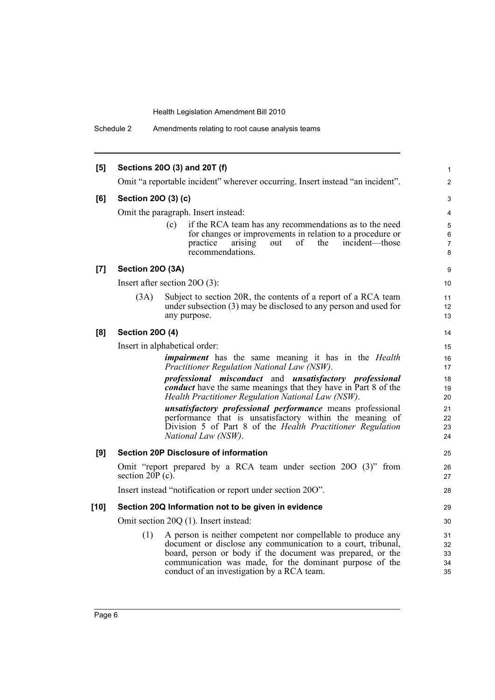Schedule 2 Amendments relating to root cause analysis teams

| [5]    |                         | Sections 20O (3) and 20T (f)                                                                                                            | $\mathbf{1}$        |
|--------|-------------------------|-----------------------------------------------------------------------------------------------------------------------------------------|---------------------|
|        |                         | Omit "a reportable incident" wherever occurring. Insert instead "an incident".                                                          | $\overline{2}$      |
| [6]    | Section 20O (3) (c)     |                                                                                                                                         | 3                   |
|        |                         | Omit the paragraph. Insert instead:                                                                                                     | 4                   |
|        |                         | (c)<br>if the RCA team has any recommendations as to the need                                                                           | $\mathbf 5$         |
|        |                         | for changes or improvements in relation to a procedure or                                                                               | 6                   |
|        |                         | practice<br>of<br>the<br>arising<br>out<br>incident—those<br>recommendations.                                                           | $\overline{7}$<br>8 |
| [7]    | <b>Section 200 (3A)</b> |                                                                                                                                         | 9                   |
|        |                         | Insert after section $20O(3)$ :                                                                                                         | 10                  |
|        | (3A)                    | Subject to section 20R, the contents of a report of a RCA team                                                                          | 11                  |
|        |                         | under subsection (3) may be disclosed to any person and used for                                                                        | 12                  |
|        |                         | any purpose.                                                                                                                            | 13                  |
| [8]    | <b>Section 200 (4)</b>  |                                                                                                                                         | 14                  |
|        |                         | Insert in alphabetical order:                                                                                                           | 15                  |
|        |                         | <i>impairment</i> has the same meaning it has in the <i>Health</i>                                                                      | 16                  |
|        |                         | Practitioner Regulation National Law (NSW).                                                                                             | 17                  |
|        |                         | professional misconduct and unsatisfactory professional<br><b><i>conduct</i></b> have the same meanings that they have in Part 8 of the | 18<br>19            |
|        |                         | Health Practitioner Regulation National Law (NSW).                                                                                      | 20                  |
|        |                         | unsatisfactory professional performance means professional                                                                              | 21                  |
|        |                         | performance that is unsatisfactory within the meaning of<br>Division 5 of Part 8 of the Health Practitioner Regulation                  | 22                  |
|        |                         | National Law (NSW).                                                                                                                     | 23<br>24            |
| [9]    |                         | <b>Section 20P Disclosure of information</b>                                                                                            | 25                  |
|        |                         | Omit "report prepared by a RCA team under section 200 (3)" from                                                                         | 26                  |
|        | section $20P(c)$ .      |                                                                                                                                         | 27                  |
|        |                         | Insert instead "notification or report under section 200".                                                                              | 28                  |
| $[10]$ |                         | Section 20Q Information not to be given in evidence                                                                                     | 29                  |
|        |                         | Omit section 20Q (1). Insert instead:                                                                                                   | 30                  |
|        | (1)                     | A person is neither competent nor compellable to produce any                                                                            | 31                  |
|        |                         | document or disclose any communication to a court, tribunal,                                                                            | 32                  |
|        |                         | board, person or body if the document was prepared, or the                                                                              | 33                  |
|        |                         | communication was made, for the dominant purpose of the<br>conduct of an investigation by a RCA team.                                   | 34<br>35            |
|        |                         |                                                                                                                                         |                     |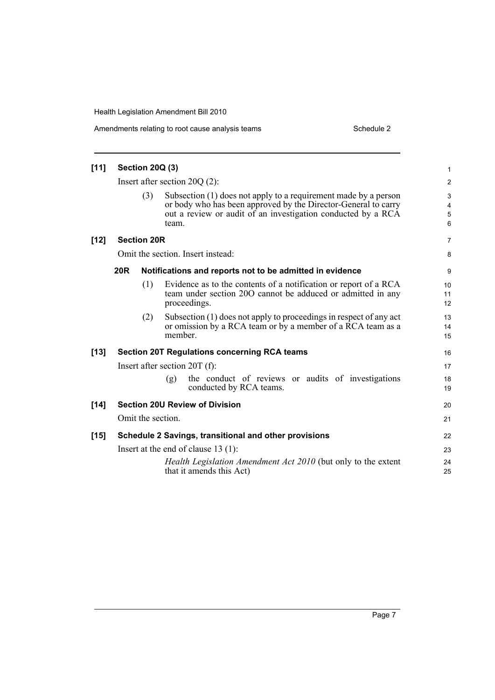| $[11]$ | <b>Section 20Q (3)</b> |                                                                                                                                                                                                            | 1                |
|--------|------------------------|------------------------------------------------------------------------------------------------------------------------------------------------------------------------------------------------------------|------------------|
|        |                        | Insert after section $20Q(2)$ :                                                                                                                                                                            | $\overline{2}$   |
|        | (3)                    | Subsection (1) does not apply to a requirement made by a person<br>or body who has been approved by the Director-General to carry<br>out a review or audit of an investigation conducted by a RCA<br>team. | 3<br>4<br>5<br>6 |
| $[12]$ | <b>Section 20R</b>     |                                                                                                                                                                                                            | $\overline{7}$   |
|        |                        | Omit the section. Insert instead:                                                                                                                                                                          | 8                |
|        | <b>20R</b>             | Notifications and reports not to be admitted in evidence                                                                                                                                                   | 9                |
|        | (1)                    | Evidence as to the contents of a notification or report of a RCA<br>team under section 200 cannot be adduced or admitted in any<br>proceedings.                                                            | 10<br>11<br>12   |
|        | (2)                    | Subsection (1) does not apply to proceedings in respect of any act<br>or omission by a RCA team or by a member of a RCA team as a<br>member.                                                               | 13<br>14<br>15   |
| $[13]$ |                        | <b>Section 20T Regulations concerning RCA teams</b>                                                                                                                                                        | 16               |
|        |                        | Insert after section $20T(f)$ :                                                                                                                                                                            | 17               |
|        |                        | the conduct of reviews or audits of investigations<br>(g)<br>conducted by RCA teams.                                                                                                                       | 18<br>19         |
| $[14]$ |                        | <b>Section 20U Review of Division</b>                                                                                                                                                                      | 20               |
|        | Omit the section.      |                                                                                                                                                                                                            | 21               |
| $[15]$ |                        | Schedule 2 Savings, transitional and other provisions                                                                                                                                                      | 22               |
|        |                        | Insert at the end of clause $13(1)$ :                                                                                                                                                                      | 23               |
|        |                        | Health Legislation Amendment Act 2010 (but only to the extent<br>that it amends this Act)                                                                                                                  | 24<br>25         |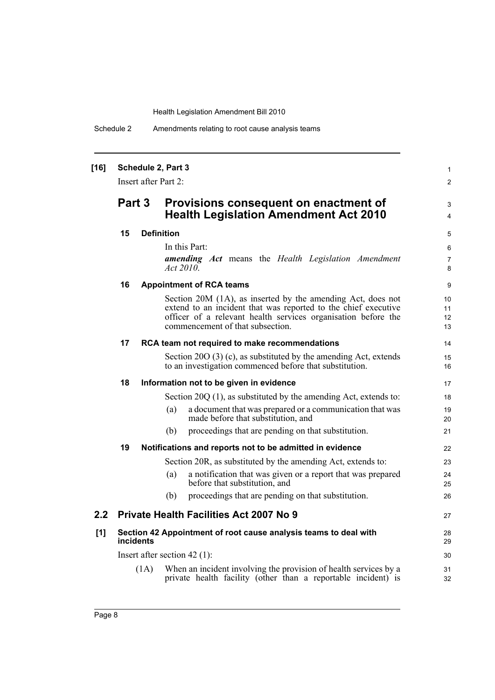1 2

3 4

Schedule 2 Amendments relating to root cause analysis teams

## **[16] Schedule 2, Part 3** Insert after Part 2: **Part 3 Provisions consequent on enactment of Health Legislation Amendment Act 2010 15 Definition** In this Part: *amending Act* means the *Health Legislation Amendment Act 2010*. **16 Appointment of RCA teams** Section 20M (1A), as inserted by the amending Act, does not extend to an incident that was reported to the chief executive officer of a relevant health services organisation before the commencement of that subsection. **17 RCA team not required to make recommendations** Section 20O (3) (c), as substituted by the amending Act, extends to an investigation commenced before that substitution. **18 Information not to be given in evidence** Section 20O (1), as substituted by the amending Act, extends to: (a) a document that was prepared or a communication that was made before that substitution, and (b) proceedings that are pending on that substitution. **19 Notifications and reports not to be admitted in evidence** Section 20R, as substituted by the amending Act, extends to: (a) a notification that was given or a report that was prepared before that substitution, and (b) proceedings that are pending on that substitution. **2.2 Private Health Facilities Act 2007 No 9 [1] Section 42 Appointment of root cause analysis teams to deal with incidents** Insert after section 42 (1): (1A) When an incident involving the provision of health services by a private health facility (other than a reportable incident) is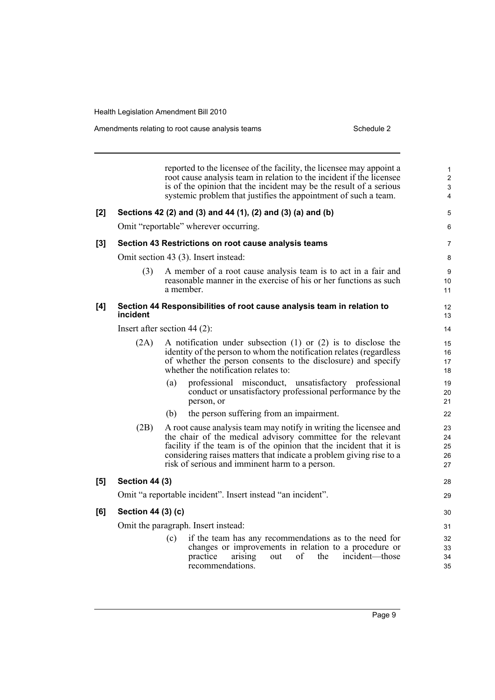Amendments relating to root cause analysis teams Schedule 2

reported to the licensee of the facility, the licensee may appoint a root cause analysis team in relation to the incident if the licensee is of the opinion that the incident may be the result of a serious systemic problem that justifies the appointment of such a team. **[2] Sections 42 (2) and (3) and 44 (1), (2) and (3) (a) and (b)** Omit "reportable" wherever occurring. **[3] Section 43 Restrictions on root cause analysis teams** Omit section 43 (3). Insert instead: (3) A member of a root cause analysis team is to act in a fair and reasonable manner in the exercise of his or her functions as such a member. **[4] Section 44 Responsibilities of root cause analysis team in relation to incident** Insert after section 44 (2): (2A) A notification under subsection (1) or (2) is to disclose the identity of the person to whom the notification relates (regardless of whether the person consents to the disclosure) and specify whether the notification relates to: (a) professional misconduct, unsatisfactory professional conduct or unsatisfactory professional performance by the person, or (b) the person suffering from an impairment. (2B) A root cause analysis team may notify in writing the licensee and the chair of the medical advisory committee for the relevant facility if the team is of the opinion that the incident that it is considering raises matters that indicate a problem giving rise to a risk of serious and imminent harm to a person. **[5] Section 44 (3)** Omit "a reportable incident". Insert instead "an incident". **[6] Section 44 (3) (c)** Omit the paragraph. Insert instead: (c) if the team has any recommendations as to the need for changes or improvements in relation to a procedure or practice arising out of the incident—those recommendations. 1 2 3 4 5 6 7 8 **9**  $10$ 11 12 13 14 15 16 17 18 19  $20$ 21 22 23 24 25 26 27 28 29 30 31 32 33 34 35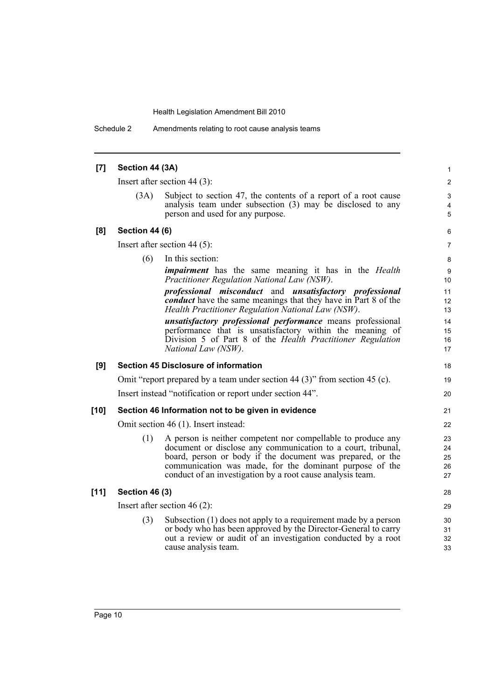Schedule 2 Amendments relating to root cause analysis teams

| $\left[ 7 \right]$ | Section 44 (3A)       |                                                                                                                                                                                                                                                                                                                     | 1                          |
|--------------------|-----------------------|---------------------------------------------------------------------------------------------------------------------------------------------------------------------------------------------------------------------------------------------------------------------------------------------------------------------|----------------------------|
|                    |                       | Insert after section 44 $(3)$ :                                                                                                                                                                                                                                                                                     | $\overline{c}$             |
|                    | (3A)                  | Subject to section 47, the contents of a report of a root cause<br>analysis team under subsection (3) may be disclosed to any<br>person and used for any purpose.                                                                                                                                                   | 3<br>4<br>5                |
| [8]                | <b>Section 44 (6)</b> |                                                                                                                                                                                                                                                                                                                     | 6                          |
|                    |                       | Insert after section 44 $(5)$ :                                                                                                                                                                                                                                                                                     | 7                          |
|                    | (6)                   | In this section:                                                                                                                                                                                                                                                                                                    | 8                          |
|                    |                       | <i>impairment</i> has the same meaning it has in the <i>Health</i><br>Practitioner Regulation National Law (NSW).                                                                                                                                                                                                   | 9<br>10                    |
|                    |                       | <i>professional misconduct</i> and <i>unsatisfactory professional</i><br><b><i>conduct</i></b> have the same meanings that they have in Part 8 of the<br>Health Practitioner Regulation National Law (NSW).                                                                                                         | 11<br>12<br>13             |
|                    |                       | unsatisfactory professional performance means professional<br>performance that is unsatisfactory within the meaning of<br>Division 5 of Part 8 of the Health Practitioner Regulation<br>National Law (NSW).                                                                                                         | 14<br>15<br>16<br>17       |
| [9]                |                       | <b>Section 45 Disclosure of information</b>                                                                                                                                                                                                                                                                         | 18                         |
|                    |                       | Omit "report prepared by a team under section 44 (3)" from section 45 (c).                                                                                                                                                                                                                                          | 19                         |
|                    |                       | Insert instead "notification or report under section 44".                                                                                                                                                                                                                                                           | 20                         |
| $[10]$             |                       | Section 46 Information not to be given in evidence                                                                                                                                                                                                                                                                  | 21                         |
|                    |                       | Omit section 46 (1). Insert instead:                                                                                                                                                                                                                                                                                | 22                         |
|                    | (1)                   | A person is neither competent nor compellable to produce any<br>document or disclose any communication to a court, tribunal,<br>board, person or body if the document was prepared, or the<br>communication was made, for the dominant purpose of the<br>conduct of an investigation by a root cause analysis team. | 23<br>24<br>25<br>26<br>27 |
| $[11]$             | <b>Section 46 (3)</b> |                                                                                                                                                                                                                                                                                                                     | 28                         |
|                    |                       | Insert after section 46 $(2)$ :                                                                                                                                                                                                                                                                                     | 29                         |
|                    | (3)                   | Subsection (1) does not apply to a requirement made by a person<br>or body who has been approved by the Director-General to carry<br>out a review or audit of an investigation conducted by a root<br>cause analysis team.                                                                                          | 30<br>31<br>32<br>33       |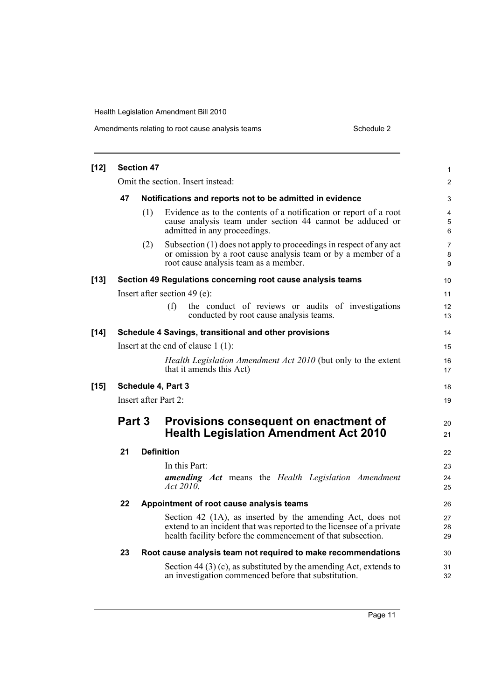| $[12]$ |        | <b>Section 47</b> |                                                                                                                                                                                                   | 1                        |
|--------|--------|-------------------|---------------------------------------------------------------------------------------------------------------------------------------------------------------------------------------------------|--------------------------|
|        |        |                   | Omit the section. Insert instead:                                                                                                                                                                 | 2                        |
|        | 47     |                   | Notifications and reports not to be admitted in evidence                                                                                                                                          | 3                        |
|        |        | (1)               | Evidence as to the contents of a notification or report of a root<br>cause analysis team under section 44 cannot be adduced or<br>admitted in any proceedings.                                    | 4<br>5<br>6              |
|        |        | (2)               | Subsection (1) does not apply to proceedings in respect of any act<br>or omission by a root cause analysis team or by a member of a<br>root cause analysis team as a member.                      | $\overline{7}$<br>8<br>9 |
| $[13]$ |        |                   | Section 49 Regulations concerning root cause analysis teams                                                                                                                                       | 10                       |
|        |        |                   | Insert after section 49 (e):                                                                                                                                                                      | 11                       |
|        |        |                   | (f)<br>the conduct of reviews or audits of investigations<br>conducted by root cause analysis teams.                                                                                              | 12<br>13                 |
| $[14]$ |        |                   | Schedule 4 Savings, transitional and other provisions                                                                                                                                             | 14                       |
|        |        |                   | Insert at the end of clause $1(1)$ :                                                                                                                                                              | 15                       |
|        |        |                   | Health Legislation Amendment Act 2010 (but only to the extent<br>that it amends this Act)                                                                                                         | 16<br>17                 |
| $[15]$ |        |                   | Schedule 4, Part 3                                                                                                                                                                                | 18                       |
|        |        |                   | Insert after Part 2:                                                                                                                                                                              | 19                       |
|        | Part 3 |                   | Provisions consequent on enactment of<br><b>Health Legislation Amendment Act 2010</b>                                                                                                             | 20<br>21                 |
|        | 21     |                   | <b>Definition</b>                                                                                                                                                                                 | 22                       |
|        |        |                   | In this Part:                                                                                                                                                                                     | 23                       |
|        |        |                   | <b>amending</b> Act means the Health Legislation Amendment<br>Act $2010$ .                                                                                                                        | 24<br>25                 |
|        | 22     |                   | Appointment of root cause analysis teams                                                                                                                                                          | 26                       |
|        |        |                   | Section 42 (1A), as inserted by the amending Act, does not<br>extend to an incident that was reported to the licensee of a private<br>health facility before the commencement of that subsection. | 27<br>28<br>29           |
|        | 23     |                   | Root cause analysis team not required to make recommendations                                                                                                                                     | 30                       |
|        |        |                   | Section 44 (3) (c), as substituted by the amending Act, extends to<br>an investigation commenced before that substitution.                                                                        | 31<br>32                 |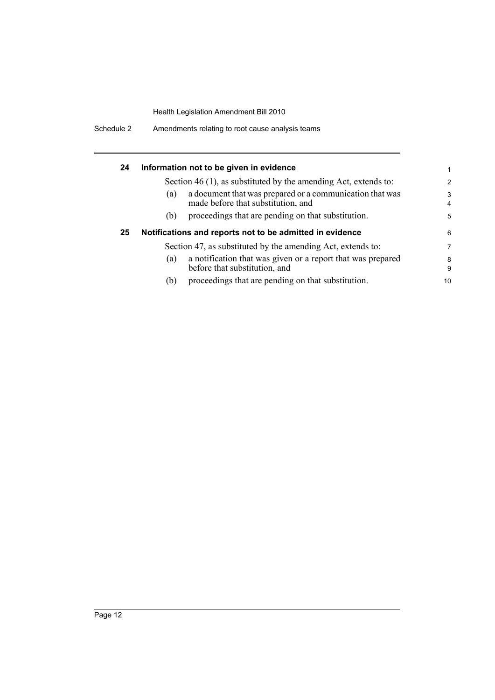| 24 |     | Information not to be given in evidence                                                        | 1                   |
|----|-----|------------------------------------------------------------------------------------------------|---------------------|
|    |     | Section 46 (1), as substituted by the amending Act, extends to:                                | $\overline{2}$      |
|    | (a) | a document that was prepared or a communication that was<br>made before that substitution, and | 3<br>$\overline{4}$ |
|    | (b) | proceedings that are pending on that substitution.                                             | 5                   |
| 25 |     | Notifications and reports not to be admitted in evidence                                       | 6                   |
|    |     | Section 47, as substituted by the amending Act, extends to:                                    | $\overline{7}$      |
|    | (a) | a notification that was given or a report that was prepared<br>before that substitution, and   | 8<br>9              |
|    | (b) | proceedings that are pending on that substitution.                                             | 10                  |

Schedule 2 Amendments relating to root cause analysis teams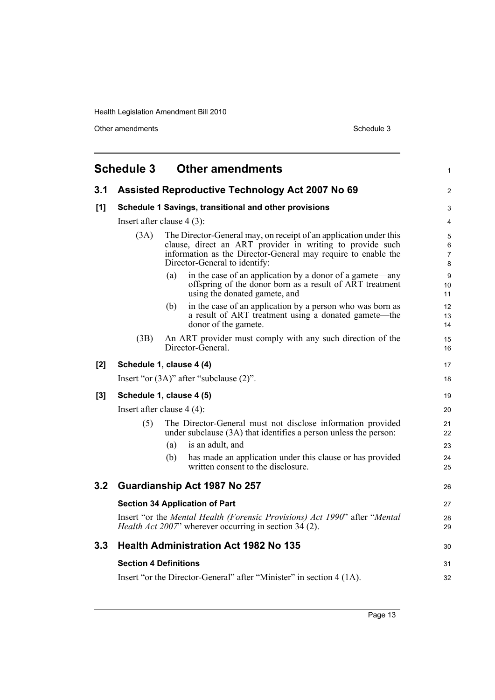Other amendments Schedule 3

<span id="page-20-0"></span>

|     | <b>Schedule 3</b>            | <b>Other amendments</b>                                                                                                                                                                                                          | 1                             |
|-----|------------------------------|----------------------------------------------------------------------------------------------------------------------------------------------------------------------------------------------------------------------------------|-------------------------------|
| 3.1 |                              | <b>Assisted Reproductive Technology Act 2007 No 69</b>                                                                                                                                                                           | $\overline{c}$                |
| [1] |                              | Schedule 1 Savings, transitional and other provisions                                                                                                                                                                            | 3                             |
|     |                              | Insert after clause $4(3)$ :                                                                                                                                                                                                     | 4                             |
|     | (3A)                         | The Director-General may, on receipt of an application under this<br>clause, direct an ART provider in writing to provide such<br>information as the Director-General may require to enable the<br>Director-General to identify: | 5<br>6<br>$\overline{7}$<br>8 |
|     |                              | in the case of an application by a donor of a gamete—any<br>(a)<br>offspring of the donor born as a result of ART treatment<br>using the donated gamete, and                                                                     | 9<br>10<br>11                 |
|     |                              | in the case of an application by a person who was born as<br>(b)<br>a result of ART treatment using a donated gamete—the<br>donor of the gamete.                                                                                 | 12<br>13<br>14                |
|     | (3B)                         | An ART provider must comply with any such direction of the<br>Director-General.                                                                                                                                                  | 15<br>16                      |
| [2] |                              | Schedule 1, clause 4 (4)                                                                                                                                                                                                         | 17                            |
|     |                              | Insert "or $(3A)$ " after "subclause $(2)$ ".                                                                                                                                                                                    | 18                            |
| [3] |                              | Schedule 1, clause 4 (5)                                                                                                                                                                                                         | 19                            |
|     |                              | Insert after clause $4(4)$ :                                                                                                                                                                                                     | 20                            |
|     | (5)                          | The Director-General must not disclose information provided<br>under subclause (3A) that identifies a person unless the person:                                                                                                  | 21<br>22                      |
|     |                              | is an adult, and<br>(a)                                                                                                                                                                                                          | 23                            |
|     |                              | has made an application under this clause or has provided<br>(b)<br>written consent to the disclosure.                                                                                                                           | 24<br>25                      |
| 3.2 |                              | Guardianship Act 1987 No 257                                                                                                                                                                                                     | 26                            |
|     |                              | <b>Section 34 Application of Part</b>                                                                                                                                                                                            | 27                            |
|     |                              | Insert "or the Mental Health (Forensic Provisions) Act 1990" after "Mental<br><i>Health Act 2007</i> " wherever occurring in section 34 (2).                                                                                     | 28<br>29                      |
| 3.3 |                              | <b>Health Administration Act 1982 No 135</b>                                                                                                                                                                                     | 30                            |
|     | <b>Section 4 Definitions</b> |                                                                                                                                                                                                                                  | 31                            |
|     |                              | Insert "or the Director-General" after "Minister" in section 4 (1A).                                                                                                                                                             | 32                            |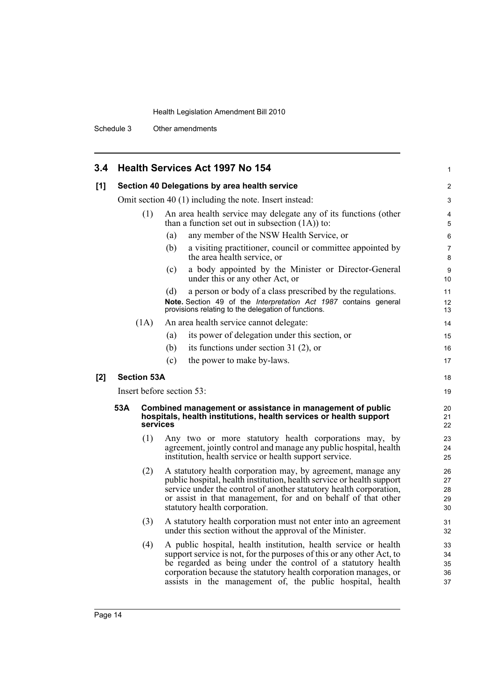Schedule 3 Other amendments

| 3.4 |                                                         |                    | <b>Health Services Act 1997 No 154</b>                                                                                                                                                                                                                                                                                                    | 1                          |  |
|-----|---------------------------------------------------------|--------------------|-------------------------------------------------------------------------------------------------------------------------------------------------------------------------------------------------------------------------------------------------------------------------------------------------------------------------------------------|----------------------------|--|
| [1] | Section 40 Delegations by area health service           |                    |                                                                                                                                                                                                                                                                                                                                           |                            |  |
|     | Omit section 40 (1) including the note. Insert instead: |                    |                                                                                                                                                                                                                                                                                                                                           |                            |  |
|     |                                                         | (1)                | An area health service may delegate any of its functions (other<br>than a function set out in subsection $(1A)$ to:                                                                                                                                                                                                                       | 4<br>5                     |  |
|     |                                                         |                    | any member of the NSW Health Service, or<br>(a)                                                                                                                                                                                                                                                                                           | 6                          |  |
|     |                                                         |                    | (b)<br>a visiting practitioner, council or committee appointed by<br>the area health service, or                                                                                                                                                                                                                                          | 7<br>8                     |  |
|     |                                                         |                    | a body appointed by the Minister or Director-General<br>(c)<br>under this or any other Act, or                                                                                                                                                                                                                                            | 9<br>10                    |  |
|     |                                                         |                    | (d)<br>a person or body of a class prescribed by the regulations.                                                                                                                                                                                                                                                                         | 11                         |  |
|     |                                                         |                    | Note. Section 49 of the Interpretation Act 1987 contains general<br>provisions relating to the delegation of functions.                                                                                                                                                                                                                   | 12<br>13                   |  |
|     |                                                         | (1A)               | An area health service cannot delegate:                                                                                                                                                                                                                                                                                                   | 14                         |  |
|     |                                                         |                    | its power of delegation under this section, or<br>(a)                                                                                                                                                                                                                                                                                     | 15                         |  |
|     |                                                         |                    | its functions under section 31 $(2)$ , or<br>(b)                                                                                                                                                                                                                                                                                          | 16                         |  |
|     |                                                         |                    | (c)<br>the power to make by-laws.                                                                                                                                                                                                                                                                                                         | 17                         |  |
| [2] |                                                         | <b>Section 53A</b> |                                                                                                                                                                                                                                                                                                                                           | 18                         |  |
|     |                                                         |                    | Insert before section 53:                                                                                                                                                                                                                                                                                                                 | 19                         |  |
|     | 53A                                                     | services           | Combined management or assistance in management of public<br>hospitals, health institutions, health services or health support                                                                                                                                                                                                            | 20<br>21<br>22             |  |
|     |                                                         | (1)                | Any two or more statutory health corporations may, by<br>agreement, jointly control and manage any public hospital, health<br>institution, health service or health support service.                                                                                                                                                      | 23<br>24<br>25             |  |
|     |                                                         | (2)                | A statutory health corporation may, by agreement, manage any<br>public hospital, health institution, health service or health support<br>service under the control of another statutory health corporation,<br>or assist in that management, for and on behalf of that other<br>statutory health corporation.                             | 26<br>27<br>28<br>29<br>30 |  |
|     |                                                         | (3)                | A statutory health corporation must not enter into an agreement<br>under this section without the approval of the Minister.                                                                                                                                                                                                               | 31<br>32                   |  |
|     |                                                         | (4)                | A public hospital, health institution, health service or health<br>support service is not, for the purposes of this or any other Act, to<br>be regarded as being under the control of a statutory health<br>corporation because the statutory health corporation manages, or<br>assists in the management of, the public hospital, health | 33<br>34<br>35<br>36<br>37 |  |